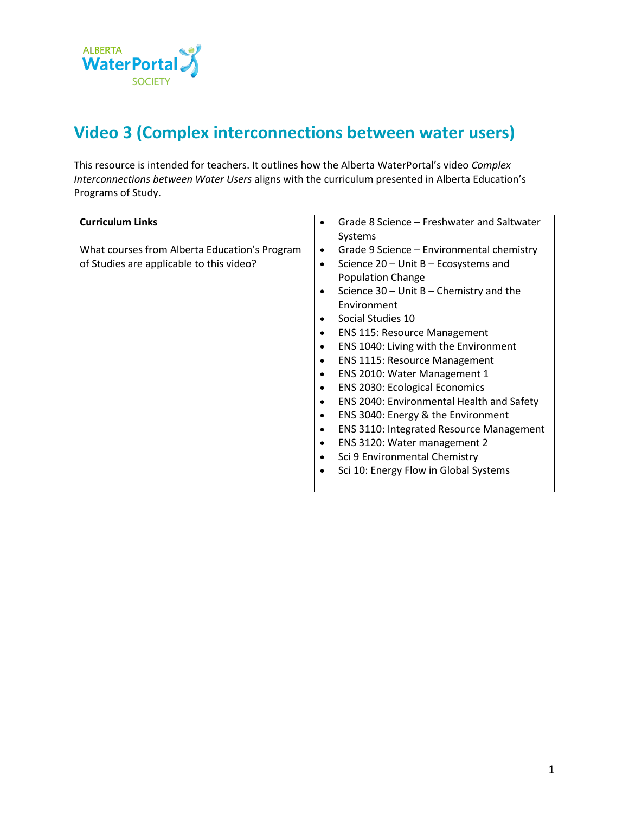

## **Video 3 (Complex interconnections between water users)**

This resource is intended for teachers. It outlines how the Alberta WaterPortal's video *Complex Interconnections between Water Users* aligns with the curriculum presented in Alberta Education's Programs of Study.

| <b>Curriculum Links</b>                       | Grade 8 Science – Freshwater and Saltwater<br>$\bullet$      |
|-----------------------------------------------|--------------------------------------------------------------|
|                                               | Systems                                                      |
| What courses from Alberta Education's Program | Grade 9 Science – Environmental chemistry<br>$\bullet$       |
| of Studies are applicable to this video?      | Science $20$ – Unit B – Ecosystems and<br>٠                  |
|                                               | <b>Population Change</b>                                     |
|                                               | Science $30 -$ Unit B – Chemistry and the<br>$\bullet$       |
|                                               | Environment                                                  |
|                                               | Social Studies 10<br>$\bullet$                               |
|                                               | <b>ENS 115: Resource Management</b><br>$\bullet$             |
|                                               | ENS 1040: Living with the Environment<br>$\bullet$           |
|                                               | <b>ENS 1115: Resource Management</b><br>$\bullet$            |
|                                               | ENS 2010: Water Management 1                                 |
|                                               | <b>ENS 2030: Ecological Economics</b><br>$\bullet$           |
|                                               | ENS 2040: Environmental Health and Safety<br>$\bullet$       |
|                                               | ENS 3040: Energy & the Environment<br>٠                      |
|                                               | <b>ENS 3110: Integrated Resource Management</b><br>$\bullet$ |
|                                               | ENS 3120: Water management 2<br>$\bullet$                    |
|                                               | Sci 9 Environmental Chemistry                                |
|                                               | Sci 10: Energy Flow in Global Systems                        |
|                                               |                                                              |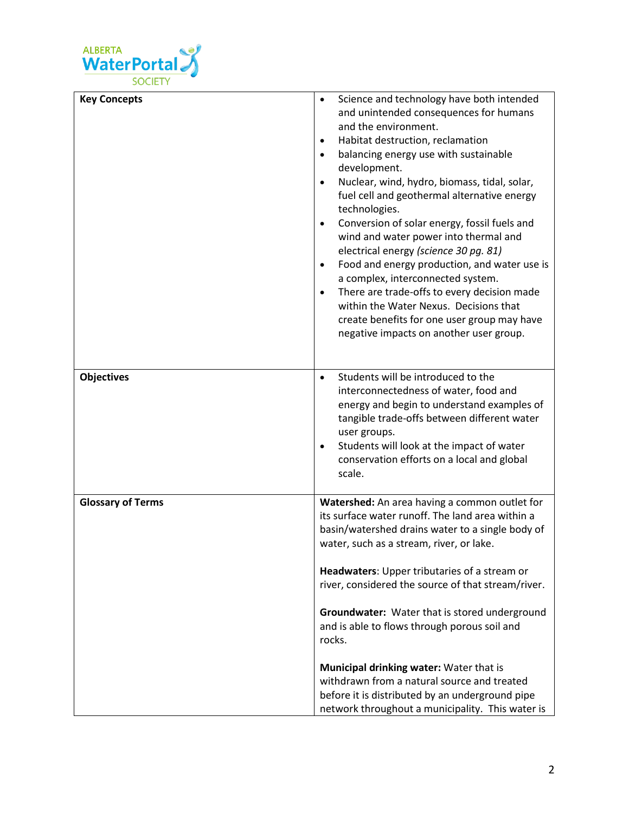

| <b>Key Concepts</b>      | Science and technology have both intended<br>$\bullet$<br>and unintended consequences for humans<br>and the environment.<br>Habitat destruction, reclamation<br>$\bullet$<br>balancing energy use with sustainable<br>$\bullet$<br>development.<br>Nuclear, wind, hydro, biomass, tidal, solar,<br>$\bullet$<br>fuel cell and geothermal alternative energy<br>technologies.<br>Conversion of solar energy, fossil fuels and<br>$\bullet$<br>wind and water power into thermal and<br>electrical energy (science 30 pg. 81)<br>Food and energy production, and water use is<br>$\bullet$<br>a complex, interconnected system.<br>There are trade-offs to every decision made<br>$\bullet$<br>within the Water Nexus. Decisions that<br>create benefits for one user group may have<br>negative impacts on another user group. |
|--------------------------|-------------------------------------------------------------------------------------------------------------------------------------------------------------------------------------------------------------------------------------------------------------------------------------------------------------------------------------------------------------------------------------------------------------------------------------------------------------------------------------------------------------------------------------------------------------------------------------------------------------------------------------------------------------------------------------------------------------------------------------------------------------------------------------------------------------------------------|
| <b>Objectives</b>        | Students will be introduced to the<br>$\bullet$<br>interconnectedness of water, food and<br>energy and begin to understand examples of<br>tangible trade-offs between different water<br>user groups.<br>Students will look at the impact of water<br>$\bullet$<br>conservation efforts on a local and global<br>scale.                                                                                                                                                                                                                                                                                                                                                                                                                                                                                                       |
| <b>Glossary of Terms</b> | Watershed: An area having a common outlet for<br>its surface water runoff. The land area within a<br>basin/watershed drains water to a single body of<br>water, such as a stream, river, or lake.<br>Headwaters: Upper tributaries of a stream or<br>river, considered the source of that stream/river.<br>Groundwater: Water that is stored underground<br>and is able to flows through porous soil and<br>rocks.<br>Municipal drinking water: Water that is<br>withdrawn from a natural source and treated<br>before it is distributed by an underground pipe                                                                                                                                                                                                                                                               |
|                          | network throughout a municipality. This water is                                                                                                                                                                                                                                                                                                                                                                                                                                                                                                                                                                                                                                                                                                                                                                              |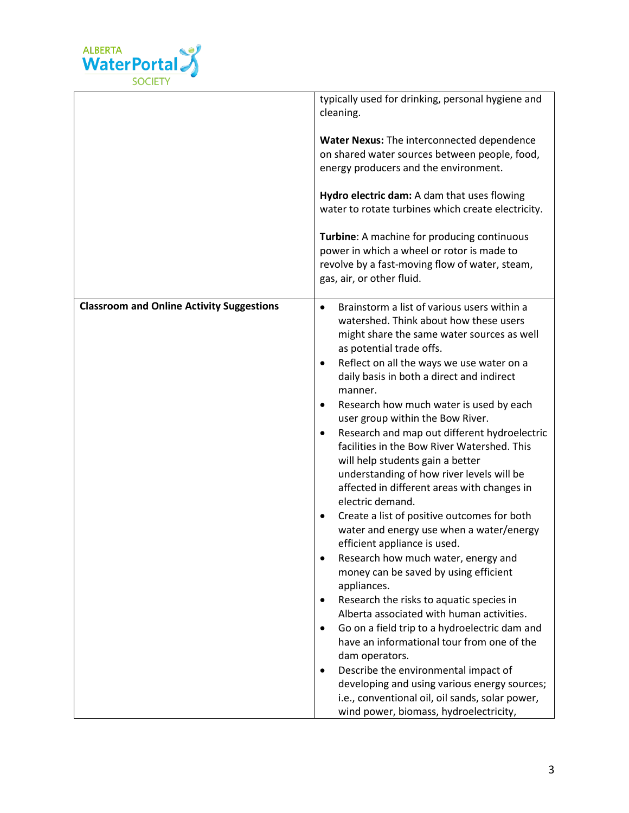

|                                                  | typically used for drinking, personal hygiene and<br>cleaning.<br>Water Nexus: The interconnected dependence<br>on shared water sources between people, food,<br>energy producers and the environment.<br>Hydro electric dam: A dam that uses flowing<br>water to rotate turbines which create electricity.<br>Turbine: A machine for producing continuous<br>power in which a wheel or rotor is made to<br>revolve by a fast-moving flow of water, steam,<br>gas, air, or other fluid.                                                                                                                                                                                                                                                                                                                                                                                                                                                                                                                                                                                                                                                                                                                                                                                                                                                 |
|--------------------------------------------------|-----------------------------------------------------------------------------------------------------------------------------------------------------------------------------------------------------------------------------------------------------------------------------------------------------------------------------------------------------------------------------------------------------------------------------------------------------------------------------------------------------------------------------------------------------------------------------------------------------------------------------------------------------------------------------------------------------------------------------------------------------------------------------------------------------------------------------------------------------------------------------------------------------------------------------------------------------------------------------------------------------------------------------------------------------------------------------------------------------------------------------------------------------------------------------------------------------------------------------------------------------------------------------------------------------------------------------------------|
| <b>Classroom and Online Activity Suggestions</b> | Brainstorm a list of various users within a<br>$\bullet$<br>watershed. Think about how these users<br>might share the same water sources as well<br>as potential trade offs.<br>Reflect on all the ways we use water on a<br>$\bullet$<br>daily basis in both a direct and indirect<br>manner.<br>Research how much water is used by each<br>$\bullet$<br>user group within the Bow River.<br>Research and map out different hydroelectric<br>$\bullet$<br>facilities in the Bow River Watershed. This<br>will help students gain a better<br>understanding of how river levels will be<br>affected in different areas with changes in<br>electric demand.<br>Create a list of positive outcomes for both<br>$\bullet$<br>water and energy use when a water/energy<br>efficient appliance is used.<br>Research how much water, energy and<br>money can be saved by using efficient<br>appliances.<br>Research the risks to aquatic species in<br>$\bullet$<br>Alberta associated with human activities.<br>Go on a field trip to a hydroelectric dam and<br>$\bullet$<br>have an informational tour from one of the<br>dam operators.<br>Describe the environmental impact of<br>$\bullet$<br>developing and using various energy sources;<br>i.e., conventional oil, oil sands, solar power,<br>wind power, biomass, hydroelectricity, |